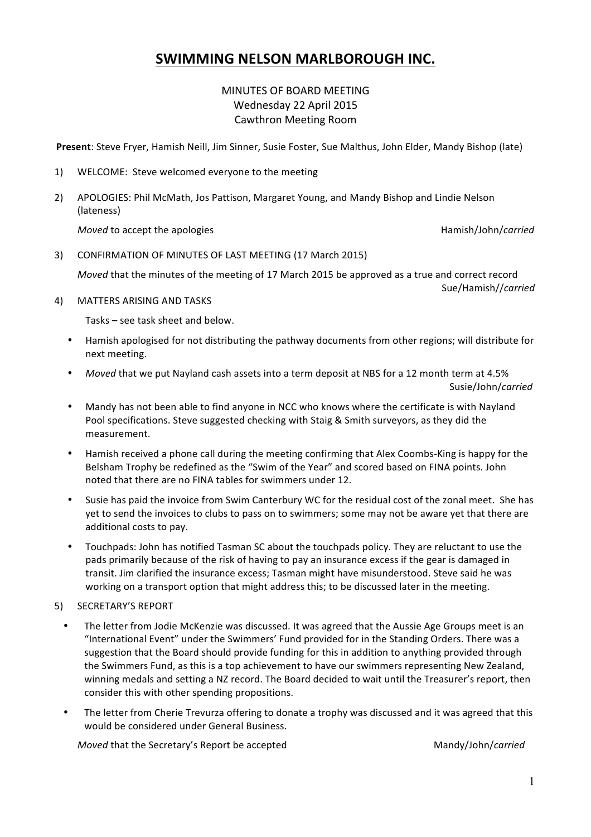# **SWIMMING NELSON MARLBOROUGH INC.**

## MINUTES OF BOARD MEETING Wednesday 22 April 2015 Cawthron Meeting Room

Present: Steve Fryer, Hamish Neill, Jim Sinner, Susie Foster, Sue Malthus, John Elder, Mandy Bishop (late)

- 1) WELCOME: Steve welcomed everyone to the meeting
- 2) APOLOGIES: Phil McMath, Jos Pattison, Margaret Young, and Mandy Bishop and Lindie Nelson (lateness)

*Moved* to accept the apologies Hamish/John/*carried*

3) CONFIRMATION OF MINUTES OF LAST MEETING (17 March 2015)

*Moved* that the minutes of the meeting of 17 March 2015 be approved as a true and correct record Sue/Hamish//*carried*

4) MATTERS ARISING AND TASKS

Tasks – see task sheet and below.

- Hamish apologised for not distributing the pathway documents from other regions; will distribute for next meeting.
- *Moved* that we put Nayland cash assets into a term deposit at NBS for a 12 month term at 4.5% Susie/John/*carried*
- Mandy has not been able to find anyone in NCC who knows where the certificate is with Nayland Pool specifications. Steve suggested checking with Staig & Smith surveyors, as they did the measurement.
- Hamish received a phone call during the meeting confirming that Alex Coombs-King is happy for the Belsham Trophy be redefined as the "Swim of the Year" and scored based on FINA points. John noted that there are no FINA tables for swimmers under 12.
- Susie has paid the invoice from Swim Canterbury WC for the residual cost of the zonal meet. She has yet to send the invoices to clubs to pass on to swimmers; some may not be aware yet that there are additional costs to pay.
- Touchpads: John has notified Tasman SC about the touchpads policy. They are reluctant to use the pads primarily because of the risk of having to pay an insurance excess if the gear is damaged in transit. Jim clarified the insurance excess; Tasman might have misunderstood. Steve said he was working on a transport option that might address this; to be discussed later in the meeting.
- 5) SECRETARY'S REPORT
	- The letter from Jodie McKenzie was discussed. It was agreed that the Aussie Age Groups meet is an "International Event" under the Swimmers' Fund provided for in the Standing Orders. There was a suggestion that the Board should provide funding for this in addition to anything provided through the Swimmers Fund, as this is a top achievement to have our swimmers representing New Zealand, winning medals and setting a NZ record. The Board decided to wait until the Treasurer's report, then consider this with other spending propositions.
	- The letter from Cherie Trevurza offering to donate a trophy was discussed and it was agreed that this would be considered under General Business.

*Moved* that the Secretary's Report be accepted Mandy/John/*carried*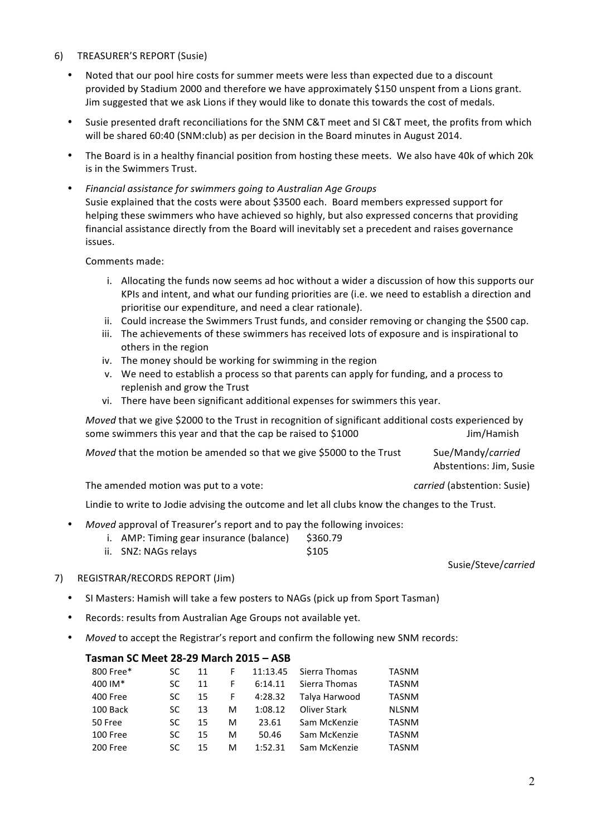#### 6) TREASURER'S REPORT (Susie)

- Noted that our pool hire costs for summer meets were less than expected due to a discount provided by Stadium 2000 and therefore we have approximately \$150 unspent from a Lions grant. Jim suggested that we ask Lions if they would like to donate this towards the cost of medals.
- Susie presented draft reconciliations for the SNM C&T meet and SI C&T meet, the profits from which will be shared 60:40 (SNM:club) as per decision in the Board minutes in August 2014.
- The Board is in a healthy financial position from hosting these meets. We also have 40k of which 20k is in the Swimmers Trust.
- *Financial assistance for swimmers going to Australian Age Groups* Susie explained that the costs were about \$3500 each. Board members expressed support for helping these swimmers who have achieved so highly, but also expressed concerns that providing financial assistance directly from the Board will inevitably set a precedent and raises governance issues.

Comments made:

- i. Allocating the funds now seems ad hoc without a wider a discussion of how this supports our KPIs and intent, and what our funding priorities are (i.e. we need to establish a direction and prioritise our expenditure, and need a clear rationale).
- ii. Could increase the Swimmers Trust funds, and consider removing or changing the \$500 cap.
- iii. The achievements of these swimmers has received lots of exposure and is inspirational to others in the region
- iv. The money should be working for swimming in the region
- v. We need to establish a process so that parents can apply for funding, and a process to replenish and grow the Trust
- vi. There have been significant additional expenses for swimmers this year.

*Moved* that we give \$2000 to the Trust in recognition of significant additional costs experienced by some swimmers this year and that the cap be raised to \$1000 Some sum Muslem Jim/Hamish

*Moved* that the motion be amended so that we give \$5000 to the Trust Sue/Mandy/*carried* 

Abstentions: Jim, Susie

Susie/Steve/*carried*

The amended motion was put to a vote: *carried* (abstention: Susie)

Lindie to write to Jodie advising the outcome and let all clubs know the changes to the Trust.

- *Moved* approval of Treasurer's report and to pay the following invoices:
	- i. AMP: Timing gear insurance (balance) \$360.79
	- ii. SNZ: NAGs relays \$105
- 7) REGISTRAR/RECORDS REPORT (Jim)
	- SI Masters: Hamish will take a few posters to NAGs (pick up from Sport Tasman)
	- Records: results from Australian Age Groups not available yet.
	- *Moved* to accept the Registrar's report and confirm the following new SNM records:

#### **Tasman SC Meet 28-29 March 2015 – ASB**

| 800 Free* | SC | 11 |    | 11:13.45 | Sierra Thomas | <b>TASNM</b> |
|-----------|----|----|----|----------|---------------|--------------|
| 400 IM*   | SC | 11 |    | 6:14.11  | Sierra Thomas | <b>TASNM</b> |
| 400 Free  | SC | 15 | F. | 4:28.32  | Talya Harwood | <b>TASNM</b> |
| 100 Back  | SC | 13 | м  | 1:08.12  | Oliver Stark  | <b>NLSNM</b> |
| 50 Free   | SC | 15 | м  | 23.61    | Sam McKenzie  | <b>TASNM</b> |
| 100 Free  | SC | 15 | м  | 50.46    | Sam McKenzie  | <b>TASNM</b> |
| 200 Free  | SC | 15 | м  | 1:52.31  | Sam McKenzie  | TASNM        |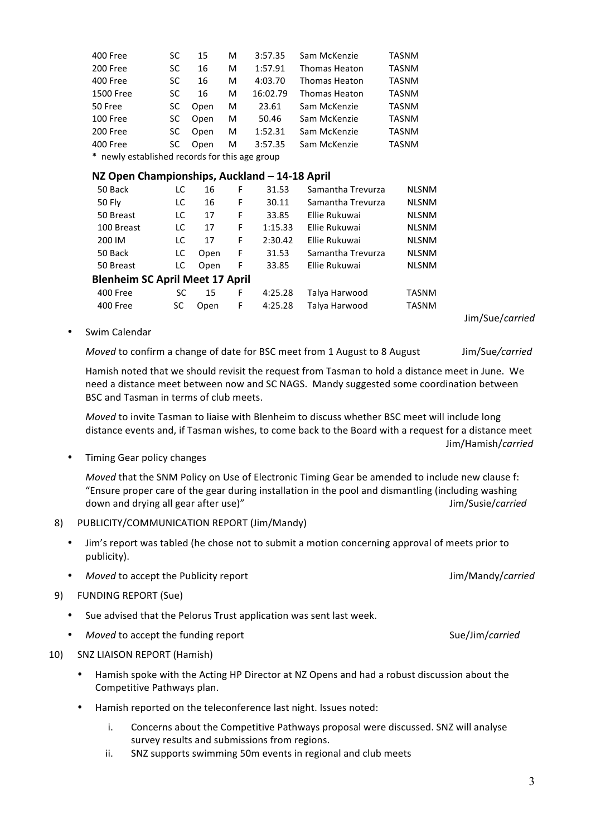| the pool and dismantling (incl | J |
|--------------------------------|---|
| tion concerning approval of m  |   |
|                                | J |
|                                |   |

Jim/Sue/*carried*

Swim Calendar

*Moved* to confirm a change of date for BSC meet from 1 August to 8 August Jim/Sue/carried

400 Free SC 15 F 4:25.28 Talya Harwood TASNM 400 Free SC Open F 4:25.28 Talya Harwood TASNM

50 Back LC 16 F 31.53 Samantha Trevurza NLSNM 50 Fly LC 16 F 30.11 Samantha Trevurza NLSNM 50 Breast LC 17 F 33.85 Ellie Rukuwai NLSNM 100 Breast LC 17 F 1:15.33 Ellie Rukuwai NLSNM 200 IM  $\qquad$  LC 17 F 2:30.42 Ellie Rukuwai NLSNM 50 Back  $LC$  Open F 31.53 Samantha Trevurza NLSNM 50 Breast LC Open F 33.85 Ellie Rukuwai NLSNM

400 Free SC 15 M 3:57.35 Sam McKenzie TASNM 200 Free SC 16 M 1:57.91 Thomas Heaton TASNM 400 Free SC 16 M 4:03.70 Thomas Heaton TASNM 1500 Free SC 16 M 16:02.79 Thomas Heaton TASNM 50 Free SC Open M 23.61 Sam McKenzie TASNM 100 Free SC Open M 50.46 Sam McKenzie TASNM 200 Free SC Open M 1:52.31 Sam McKenzie TASNM 400 Free SC Open M 3:57.35 Sam McKenzie TASNM

Hamish noted that we should revisit the request from Tasman to hold a distance meet in June. We need a distance meet between now and SC NAGS. Mandy suggested some coordination between BSC and Tasman in terms of club meets.

*Moved* to invite Tasman to liaise with Blenheim to discuss whether BSC meet will include long distance events and, if Tasman wishes, to come back to the Board with a request for a distance meet Jim/Hamish/*carried*

Timing Gear policy changes

*Moved* that the SNM Policy on Use of Electronic Timing Gear be amended to include new clause f: "Ensure proper care of the gear during installation in the pool and dismantling (including washing down and drying all gear after use)" and the same of the same of the same of the same of the same of the same of the same of the same of the same of the same of the same of the same of the same of the same of the same of t

8) PUBLICITY/COMMUNICATION REPORT (Jim/Mandy)

\* newly established records for this age group

**Blenheim SC April Meet 17 April** 

**NZ Open Championships, Auckland - 14-18 April** 

- Jim's report was tabled (he chose not to submit a motion concerning approval of meets prior to publicity).
- *Moved* to accept the Publicity report **Acception** Accept the Publicity report Accept 100 Mandy/*carried*
- 9) FUNDING REPORT (Sue)
	- Sue advised that the Pelorus Trust application was sent last week.
	- *Moved* to accept the funding report Sue/Jim/*carried* Sue/Jim/*carried*
- 10) SNZ LIAISON REPORT (Hamish)
	- Hamish spoke with the Acting HP Director at NZ Opens and had a robust discussion about the Competitive Pathways plan.
	- Hamish reported on the teleconference last night. Issues noted:
		- i. Concerns about the Competitive Pathways proposal were discussed. SNZ will analyse survey results and submissions from regions.
		- ii. SNZ supports swimming 50m events in regional and club meets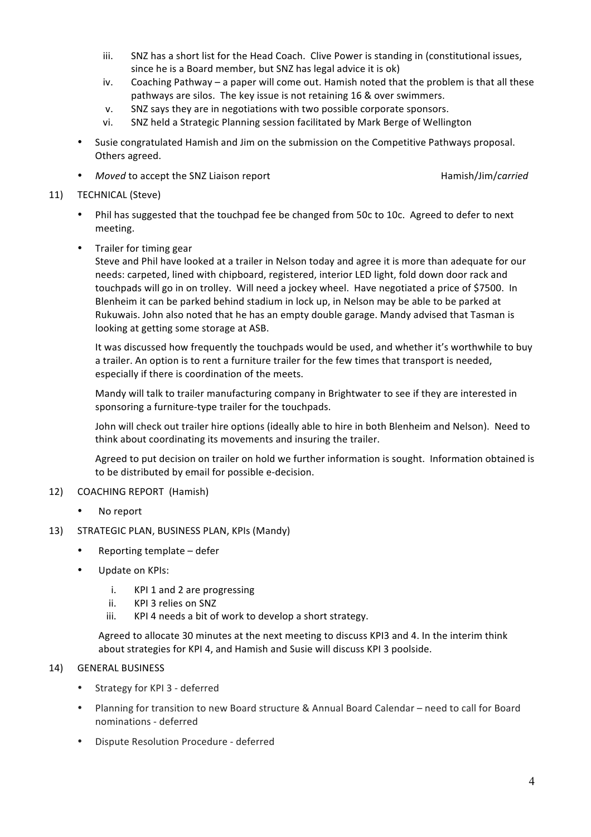- iii. SNZ has a short list for the Head Coach. Clive Power is standing in (constitutional issues, since he is a Board member, but SNZ has legal advice it is ok)
- iv. Coaching Pathway a paper will come out. Hamish noted that the problem is that all these pathways are silos. The key issue is not retaining 16 & over swimmers.
- v. SNZ says they are in negotiations with two possible corporate sponsors.
- vi. SNZ held a Strategic Planning session facilitated by Mark Berge of Wellington
- Susie congratulated Hamish and Jim on the submission on the Competitive Pathways proposal. Others agreed.
- **Figure 1** Moved to accept the SNZ Liaison report **Acceptional Contract Contract Contract Contract Contract Contract Contract Contract Contract Contract Contract Contract Contract Contract Contract Contract Contract Contra**

- 11) TECHNICAL (Steve)
	- Phil has suggested that the touchpad fee be changed from 50c to 10c. Agreed to defer to next meeting.
	- Trailer for timing gear

Steve and Phil have looked at a trailer in Nelson today and agree it is more than adequate for our needs: carpeted, lined with chipboard, registered, interior LED light, fold down door rack and touchpads will go in on trolley. Will need a jockey wheel. Have negotiated a price of \$7500. In Blenheim it can be parked behind stadium in lock up, in Nelson may be able to be parked at Rukuwais. John also noted that he has an empty double garage. Mandy advised that Tasman is looking at getting some storage at ASB.

It was discussed how frequently the touchpads would be used, and whether it's worthwhile to buy a trailer. An option is to rent a furniture trailer for the few times that transport is needed, especially if there is coordination of the meets.

Mandy will talk to trailer manufacturing company in Brightwater to see if they are interested in sponsoring a furniture-type trailer for the touchpads.

John will check out trailer hire options (ideally able to hire in both Blenheim and Nelson). Need to think about coordinating its movements and insuring the trailer.

Agreed to put decision on trailer on hold we further information is sought. Information obtained is to be distributed by email for possible e-decision.

#### 12) COACHING REPORT (Hamish)

No report

#### 13) STRATEGIC PLAN, BUSINESS PLAN, KPIs (Mandy)

- Reporting template defer
- Update on KPIs:
	- i. KPI 1 and 2 are progressing
	- ii. KPI 3 relies on SNZ
	- iii. KPI 4 needs a bit of work to develop a short strategy.

Agreed to allocate 30 minutes at the next meeting to discuss KPI3 and 4. In the interim think about strategies for KPI 4, and Hamish and Susie will discuss KPI 3 poolside.

#### 14) GENERAL BUSINESS

- Strategy for KPI 3 deferred
- Planning for transition to new Board structure & Annual Board Calendar need to call for Board nominations - deferred
- Dispute Resolution Procedure deferred